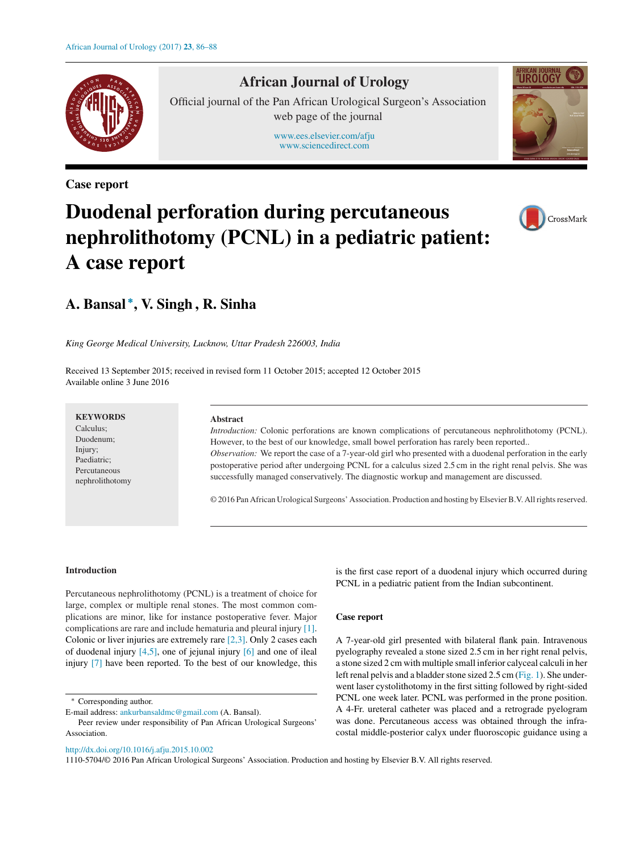

# **African Journal of Urology**

Official journal of the Pan African Urological Surgeon's Association web page of the journal

> [www.ees.elsevier.com/afju](http://www.ees.elsevier.com/afju) [www.sciencedirect.com](http://www.sciencedirect.com/science/journal/11105704)

**Case report**



# **Duodenal perforation during percutaneous nephrolithotomy (PCNL) in a pediatric patient: A case report**



# **A. Bansal <sup>∗</sup> , V. Singh , R. Sinha**

*King George Medical University, Lucknow, Uttar Pradesh 226003, India*

Received 13 September 2015; received in revised form 11 October 2015; accepted 12 October 2015 Available online 3 June 2016

**KEYWORDS** Calculus; Duodenum; Injury; Paediatric; Percutaneous

nephrolithotomy

#### **Abstract**

*Introduction:* Colonic perforations are known complications of percutaneous nephrolithotomy (PCNL). However, to the best of our knowledge, small bowel perforation has rarely been reported.. *Observation:* We report the case of a 7-year-old girl who presented with a duodenal perforation in the early postoperative period after undergoing PCNL for a calculus sized 2.5 cm in the right renal pelvis. She was successfully managed conservatively. The diagnostic workup and management are discussed.

© 2016 Pan African Urological Surgeons' Association. Production and hosting by ElsevierB.V. Allrightsreserved.

#### **Introduction**

Percutaneous nephrolithotomy (PCNL) is a treatment of choice for large, complex or multiple renal stones. The most common complications are minor, like for instance postoperative fever. Major complications are rare and include hematuria and pleural injury [\[1\].](#page-2-0) Colonic or liver injuries are extremely rare [\[2,3\].](#page-2-0) Only 2 cases each of duodenal injury  $[4,5]$ , one of jejunal injury  $[6]$  and one of ileal injury [\[7\]](#page-2-0) have been reported. To the best of our knowledge, this

∗ Corresponding author.

[http://dx.doi.org/10.1016/j.afju.2015.10.002](dx.doi.org/10.1016/j.afju.2015.10.002)

is the first case report of a duodenal injury which occurred during PCNL in a pediatric patient from the Indian subcontinent.

# **Case report**

A 7-year-old girl presented with bilateral flank pain. Intravenous pyelography revealed a stone sized 2.5 cm in her right renal pelvis, a stone sized 2 cm with multiple small inferior calyceal calculi in her left renal pelvis and a bladder stone sized 2.5 cm ([Fig.](#page-1-0) 1). She underwent laser cystolithotomy in the first sitting followed by right-sided PCNL one week later. PCNL was performed in the prone position. A 4-Fr. ureteral catheter was placed and a retrograde pyelogram was done. Percutaneous access was obtained through the infracostal middle-posterior calyx under fluoroscopic guidance using a

1110-5704/© 2016 Pan African Urological Surgeons' Association. Production and hosting by Elsevier B.V. All rights reserved.

E-mail address: [ankurbansaldmc@gmail.com](mailto:ankurbansaldmc@gmail.com) (A. Bansal).

Peer review under responsibility of Pan African Urological Surgeons' Association.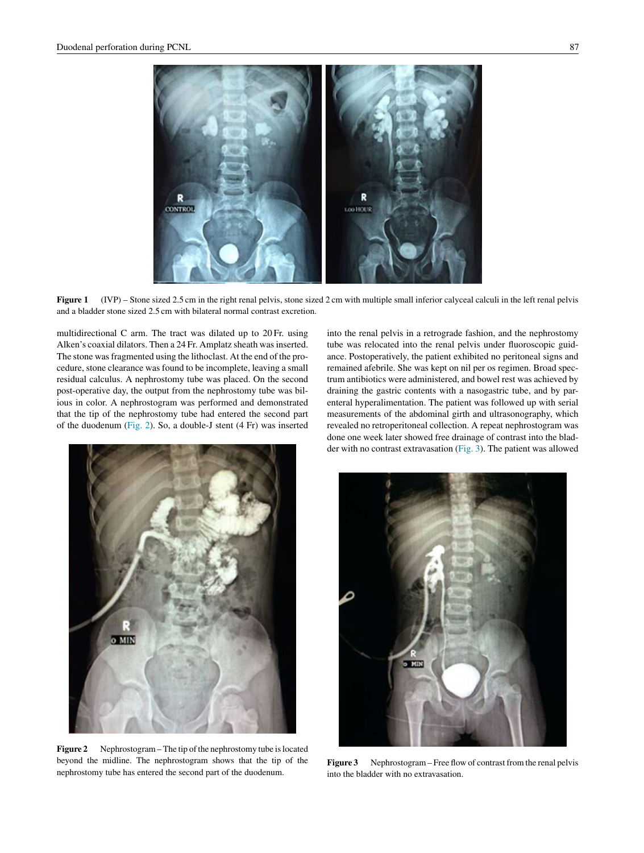<span id="page-1-0"></span>**CONTROL** LOO HOUT

**Figure 1** (IVP) – Stone sized 2.5 cm in the right renal pelvis, stone sized 2 cm with multiple small inferior calyceal calculi in the left renal pelvis and a bladder stone sized 2.5 cm with bilateral normal contrast excretion.

multidirectional C arm. The tract was dilated up to 20 Fr. using Alken's coaxial dilators. Then a 24 Fr. Amplatz sheath was inserted. The stone was fragmented using the lithoclast. At the end of the procedure, stone clearance was found to be incomplete, leaving a small residual calculus. A nephrostomy tube was placed. On the second post-operative day, the output from the nephrostomy tube was bilious in color. A nephrostogram was performed and demonstrated that the tip of the nephrostomy tube had entered the second part of the duodenum (Fig. 2). So, a double-J stent (4 Fr) was inserted



**Figure 2** Nephrostogram – The tip of the nephrostomy tube is located beyond the midline. The nephrostogram shows that the tip of the nephrostomy tube has entered the second part of the duodenum.

into the renal pelvis in a retrograde fashion, and the nephrostomy tube was relocated into the renal pelvis under fluoroscopic guidance. Postoperatively, the patient exhibited no peritoneal signs and remained afebrile. She was kept on nil per os regimen. Broad spectrum antibiotics were administered, and bowel rest was achieved by draining the gastric contents with a nasogastric tube, and by parenteral hyperalimentation. The patient was followed up with serial measurements of the abdominal girth and ultrasonography, which revealed no retroperitoneal collection. A repeat nephrostogram was done one week later showed free drainage of contrast into the bladder with no contrast extravasation (Fig. 3). The patient was allowed



**Figure 3** Nephrostogram – Free flow of contrast from the renal pelvis into the bladder with no extravasation.